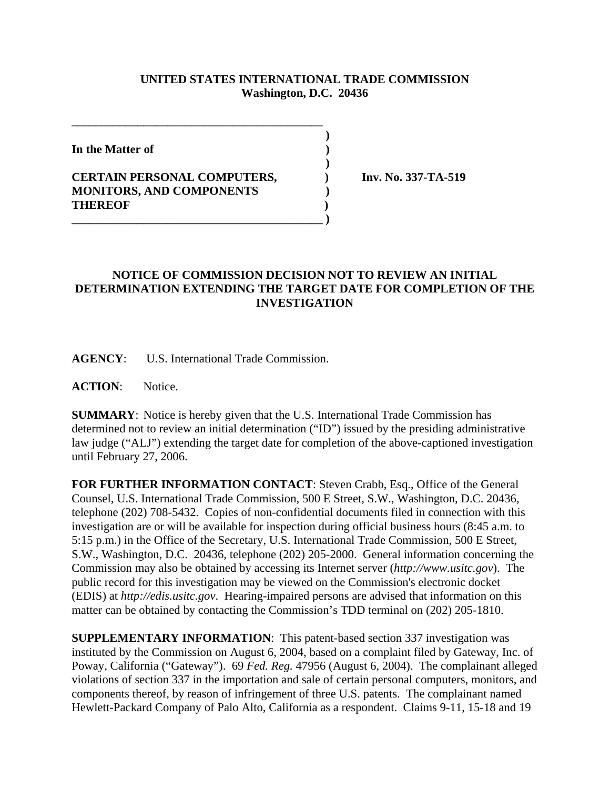## **UNITED STATES INTERNATIONAL TRADE COMMISSION Washington, D.C. 20436**

 **)**

 **)**

**In the Matter of )**

## **CERTAIN PERSONAL COMPUTERS, ) Inv. No. 337-TA-519 MONITORS, AND COMPONENTS ) THEREOF ) \_\_\_\_\_\_\_\_\_\_\_\_\_\_\_\_\_\_\_\_\_\_\_\_\_\_\_\_\_\_\_\_\_\_\_\_\_\_\_\_\_\_ )**

**\_\_\_\_\_\_\_\_\_\_\_\_\_\_\_\_\_\_\_\_\_\_\_\_\_\_\_\_\_\_\_\_\_\_\_\_\_\_\_\_\_\_**

## **NOTICE OF COMMISSION DECISION NOT TO REVIEW AN INITIAL DETERMINATION EXTENDING THE TARGET DATE FOR COMPLETION OF THE INVESTIGATION**

**AGENCY**: U.S. International Trade Commission.

**ACTION**: Notice.

**SUMMARY**: Notice is hereby given that the U.S. International Trade Commission has determined not to review an initial determination ("ID") issued by the presiding administrative law judge ("ALJ") extending the target date for completion of the above-captioned investigation until February 27, 2006.

**FOR FURTHER INFORMATION CONTACT**: Steven Crabb, Esq., Office of the General Counsel, U.S. International Trade Commission, 500 E Street, S.W., Washington, D.C. 20436, telephone (202) 708-5432. Copies of non-confidential documents filed in connection with this investigation are or will be available for inspection during official business hours (8:45 a.m. to 5:15 p.m.) in the Office of the Secretary, U.S. International Trade Commission, 500 E Street, S.W., Washington, D.C. 20436, telephone (202) 205-2000. General information concerning the Commission may also be obtained by accessing its Internet server (*http://www.usitc.gov*). The public record for this investigation may be viewed on the Commission's electronic docket (EDIS) at *http://edis.usitc.gov*. Hearing-impaired persons are advised that information on this matter can be obtained by contacting the Commission's TDD terminal on (202) 205-1810.

**SUPPLEMENTARY INFORMATION**: This patent-based section 337 investigation was instituted by the Commission on August 6, 2004, based on a complaint filed by Gateway, Inc. of Poway, California ("Gateway"). 69 *Fed. Reg.* 47956 (August 6, 2004). The complainant alleged violations of section 337 in the importation and sale of certain personal computers, monitors, and components thereof, by reason of infringement of three U.S. patents. The complainant named Hewlett-Packard Company of Palo Alto, California as a respondent. Claims 9-11, 15-18 and 19